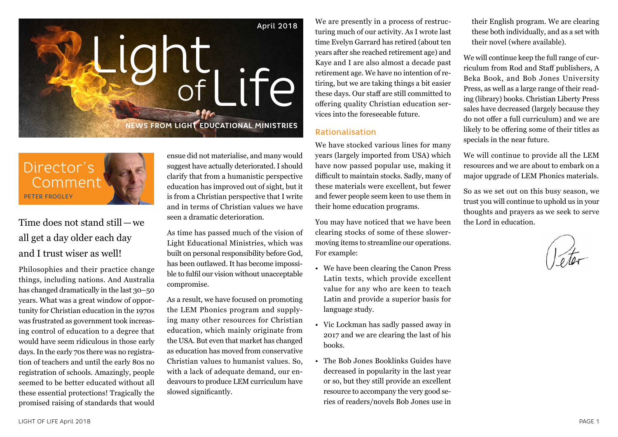



Time does not stand still—we all get a day older each day and I trust wiser as well!

Philosophies and their practice change things, including nations. And Australia has changed dramatically in the last 30–50 years. What was a great window of opportunity for Christian education in the 1970s was frustrated as government took increasing control of education to a degree that would have seem ridiculous in those early days. In the early 70s there was no registration of teachers and until the early 80s no registration of schools. Amazingly, people seemed to be better educated without all these essential protections! Tragically the promised raising of standards that would ensue did not materialise, and many would suggest have actually deteriorated. I should clarify that from a humanistic perspective education has improved out of sight, but it is from a Christian perspective that I write and in terms of Christian values we have seen a dramatic deterioration.

As time has passed much of the vision of Light Educational Ministries, which was built on personal responsibility before God, has been outlawed. It has become impossible to fulfil our vision without unacceptable compromise.

As a result, we have focused on promoting the LEM Phonics program and supplying many other resources for Christian education, which mainly originate from the USA. But even that market has changed as education has moved from conservative Christian values to humanist values. So, with a lack of adequate demand, our endeavours to produce LEM curriculum have slowed significantly.

We are presently in a process of restructuring much of our activity. As I wrote last time Evelyn Garrard has retired (about ten years after she reached retirement age) and Kaye and I are also almost a decade past retirement age. We have no intention of retiring, but we are taking things a bit easier these days. Our staff are still committed to offering quality Christian education services into the foreseeable future.

#### Rationalisation

We have stocked various lines for many years (largely imported from USA) which have now passed popular use, making it difficult to maintain stocks. Sadly, many of these materials were excellent, but fewer and fewer people seem keen to use them in their home education programs.

You may have noticed that we have been clearing stocks of some of these slowermoving items to streamline our operations. For example:

- We have been clearing the Canon Press Latin texts, which provide excellent value for any who are keen to teach Latin and provide a superior basis for language study.
- Vic Lockman has sadly passed away in 2017 and we are clearing the last of his books.
- The Bob Jones Booklinks Guides have decreased in popularity in the last year or so, but they still provide an excellent resource to accompany the very good series of readers/novels Bob Jones use in

their English program. We are clearing these both individually, and as a set with their novel (where available).

We will continue keep the full range of curriculum from Rod and Staff publishers, A Beka Book, and Bob Jones University Press, as well as a large range of their reading (library) books. Christian Liberty Press sales have decreased (largely because they do not offer a full curriculum) and we are likely to be offering some of their titles as specials in the near future.

We will continue to provide all the LEM resources and we are about to embark on a major upgrade of LEM Phonics materials.

So as we set out on this busy season, we trust you will continue to uphold us in your thoughts and prayers as we seek to serve the Lord in education.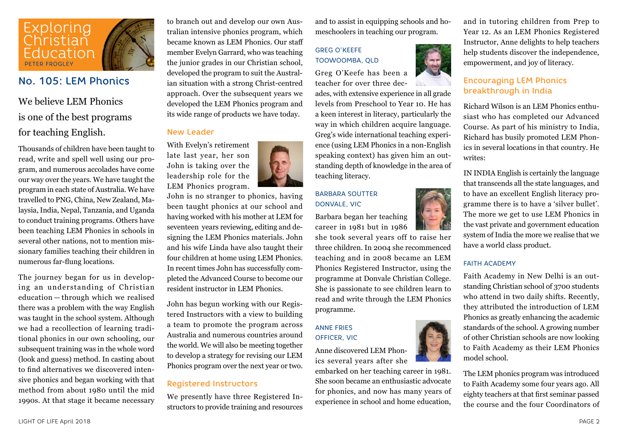

### No. 105: LEM Phonics

### We believe LEM Phonics is one of the best programs for teaching English.

Thousands of children have been taught to read, write and spell well using our program, and numerous accolades have come our way over the years. We have taught the program in each state of Australia. We have travelled to PNG, China, New Zealand, Malaysia, India, Nepal, Tanzania, and Uganda to conduct training programs. Others have been teaching LEM Phonics in schools in several other nations, not to mention missionary families teaching their children in numerous far-flung locations.

The journey began for us in developing an understanding of Christian education — through which we realised there was a problem with the way English was taught in the school system. Although we had a recollection of learning traditional phonics in our own schooling, our subsequent training was in the whole word (look and guess) method. In casting about to find alternatives we discovered intensive phonics and began working with that method from about 1980 until the mid 1990s. At that stage it became necessary

to branch out and develop our own Australian intensive phonics program, which became known as LEM Phonics. Our staff member Evelyn Garrard, who was teaching the junior grades in our Christian school, developed the program to suit the Australian situation with a strong Christ-centred approach. Over the subsequent years we developed the LEM Phonics program and its wide range of products we have today.

#### New Leader

With Evelyn's retirement late last year, her son John is taking over the leadership role for the LEM Phonics program.



John is no stranger to phonics, having been taught phonics at our school and having worked with his mother at LEM for seventeen years reviewing, editing and designing the LEM Phonics materials. John and his wife Linda have also taught their four children at home using LEM Phonics. In recent times John has successfully completed the Advanced Course to become our resident instructor in LEM Phonics.

John has begun working with our Registered Instructors with a view to building a team to promote the program across Australia and numerous countries around the world. We will also be meeting together to develop a strategy for revising our LEM Phonics program over the next year or two.

#### Registered Instructors

We presently have three Registered Instructors to provide training and resources and to assist in equipping schools and homeschoolers in teaching our program.

### GREG O'KEEFE TOOWOOMBA, QLD

Greg O'Keefe has been a teacher for over three dec-

ades, with extensive experience in all grade levels from Preschool to Year 10. He has a keen interest in literacy, particularly the way in which children acquire language. Greg's wide international teaching experience (using LEM Phonics in a non-English speaking context) has given him an outstanding depth of knowledge in the area of teaching literacy.

#### BARBARA SOUTTER DONVALE, VIC

Barbara began her teaching career in 1981 but in 1986

she took several years off to raise her three children. In 2004 she recommenced teaching and in 2008 became an LEM Phonics Registered Instructor, using the programme at Donvale Christian College. She is passionate to see children learn to read and write through the LEM Phonics programme.

#### ANNE FRIES OFFICER, VIC



embarked on her teaching career in 1981. She soon became an enthusiastic advocate for phonics, and now has many years of experience in school and home education,

and in tutoring children from Prep to Year 12. As an LEM Phonics Registered Instructor, Anne delights to help teachers help students discover the independence, empowerment, and joy of literacy.

#### Encouraging LEM Phonics breakthrough in India

Richard Wilson is an LEM Phonics enthusiast who has completed our Advanced Course. As part of his ministry to India, Richard has busily promoted LEM Phonics in several locations in that country. He writes:

IN INDIA English is certainly the language that transcends all the state languages, and to have an excellent English literacy programme there is to have a 'silver bullet'. The more we get to use LEM Phonics in the vast private and government education system of India the more we realise that we have a world class product.

#### FAITH ACADEMY

Faith Academy in New Delhi is an outstanding Christian school of 3700 students who attend in two daily shifts. Recently, they attributed the introduction of LEM Phonics as greatly enhancing the academic standards of the school. A growing number of other Christian schools are now looking to Faith Academy as their LEM Phonics model school.

The LEM phonics program was introduced to Faith Academy some four years ago. All eighty teachers at that first seminar passed the course and the four Coordinators of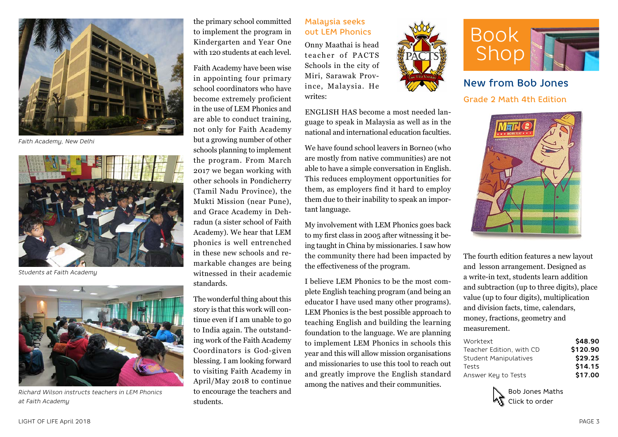

*Faith Academy, New Delhi*



*Students at Faith Academy*



*Richard Wilson instructs teachers in LEM Phonics at Faith Academy*

the primary school committed to implement the program in Kindergarten and Year One with 120 students at each level.

Faith Academy have been wise in appointing four primary school coordinators who have become extremely proficient in the use of LEM Phonics and are able to conduct training, not only for Faith Academy but a growing number of other schools planning to implement the program. From March 2017 we began working with other schools in Pondicherry (Tamil Nadu Province), the Mukti Mission (near Pune), and Grace Academy in Dehradun (a sister school of Faith Academy). We hear that LEM phonics is well entrenched in these new schools and remarkable changes are being witnessed in their academic standards.

The wonderful thing about this story is that this work will continue even if I am unable to go to India again. The outstanding work of the Faith Academy Coordinators is God-given blessing. I am looking forward to visiting Faith Academy in April/May 2018 to continue to encourage the teachers and students.

#### Malaysia seeks out LEM Phonics

Onny Maathai is head teacher of PACTS Schools in the city of Miri, Sarawak Province, Malaysia. He writes:



We have found school leavers in Borneo (who are mostly from native communities) are not able to have a simple conversation in English. This reduces employment opportunities for them, as employers find it hard to employ them due to their inability to speak an important language.

My involvement with LEM Phonics goes back to my first class in 2005 after witnessing it being taught in China by missionaries. I saw how the community there had been impacted by the effectiveness of the program.

I believe LEM Phonics to be the most complete English teaching program (and being an educator I have used many other programs). LEM Phonics is the best possible approach to teaching English and building the learning foundation to the language. We are planning to implement LEM Phonics in schools this year and this will allow mission organisations and missionaries to use this tool to reach out and greatly improve the English standard among the natives and their communities.





New from Bob Jones Grade 2 Math 4th Edition



The fourth edition features a new layout and lesson arrangement. Designed as a write-in text, students learn addition and subtraction (up to three digits), place value (up to four digits), multiplication and division facts, time, calendars, money, fractions, geometry and measurement.

| \$48.90  |
|----------|
| \$120.90 |
| \$29.25  |
| \$14.15  |
| \$17.00  |
|          |

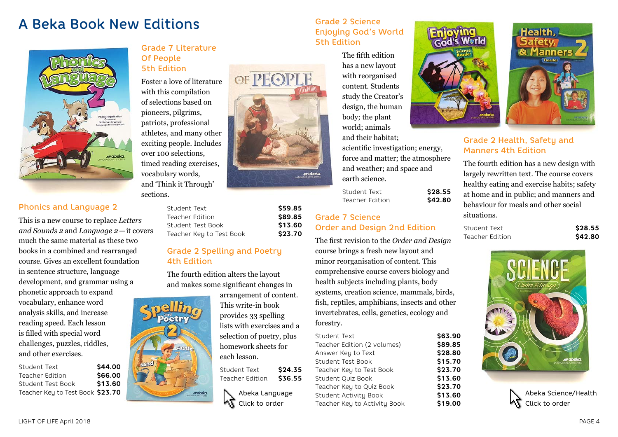## A Beka Book New Editions Contact Structure Grade 2 Science



#### Phonics and Language 2

This is a new course to replace *Letters and Sounds 2* and *Language 2*—it covers much the same material as these two books in a combined and rearranged course. Gives an excellent foundation in sentence structure, language development, and grammar using a phonetic approach to expand vocabulary, enhance word analysis skills, and increase reading speed. Each lesson is filled with special word challenges, puzzles, riddles, and other exercises.

| Student Text                     | \$44.00 |
|----------------------------------|---------|
| Teacher Edition                  | \$66.00 |
| Student Test Book                | \$13.60 |
| Teacher Key to Test Book \$23.70 |         |

#### Grade 7 Literature Of People 5th Edition

Foster a love of literature with this compilation of selections based on pioneers, pilgrims, patriots, professional athletes, and many other exciting people. Includes over 100 selections, timed reading exercises, vocabulary words, and 'Think it Through' sections.

| Student Text             | \$59.85 |
|--------------------------|---------|
| Teacher Edition          | \$89.85 |
| Student Test Book        | \$13.60 |
| Teacher Key to Test Book | \$23.70 |

#### Grade 2 Spelling and Poetry 4th Edition

The fourth edition alters the layout and makes some significant changes in

arrangement of content. This write-in book provides 33 spelling lists with exercises and a selection of poetry, plus homework sheets for

OF PEOP



### Enjoying God's World 5th Edition

The fifth edition has a new layout with reorganised content. Students study the Creator's design, the human body; the plant world; animals

and their habitat; scientific investigation; energy, force and matter; the atmosphere and weather; and space and earth science.

Student Text **\$28.55** Teacher Edition **\$42.80**

#### Grade 7 Science Order and Design 2nd Edition

The first revision to the *Order and Design*  course brings a fresh new layout and minor reorganisation of content. This comprehensive course covers biology and health subjects including plants, body systems, creation science, mammals, birds, fish, reptiles, amphibians, insects and other invertebrates, cells, genetics, ecology and forestry.

| is filled with special word<br>challenges, puzzles, riddles,<br>and other exercises.<br>\$44.00<br>Student Text<br>\$66.00<br><b>Teacher Edition</b> | Gastle<br>sand | selection of poetry, plus<br>homework sheets for<br>each lesson.<br>\$24.35<br>Student Text<br>\$36.55<br><b>Teacher Edition</b> | Student Text<br>Teacher Edition (2 volumes)<br>Answer Key to Text<br>Student Test Book<br>Teacher Key to Test Book<br>Student Quiz Book | \$63.90<br>\$89.85<br>\$28.80<br>\$15.70<br>\$23.70<br>\$13.60 | <b>SP</b><br>arabeka.                               |
|------------------------------------------------------------------------------------------------------------------------------------------------------|----------------|----------------------------------------------------------------------------------------------------------------------------------|-----------------------------------------------------------------------------------------------------------------------------------------|----------------------------------------------------------------|-----------------------------------------------------|
| \$13.60<br>Student Test Book<br>Teacher Key to Test Book $$23.70$                                                                                    | erabeka        | Abeka Language<br>Click to order                                                                                                 | Teacher Key to Quiz Book<br>Student Activity Book<br>Teacher Key to Activity Book                                                       | \$23.70<br>\$13.60<br>\$19.00                                  | Abeka Science/Health<br>$\mathbf{M}$ Click to order |





#### Grade 2 Health, Safety and Manners 4th Edition

The fourth edition has a new design with largely rewritten text. The course covers healthy eating and exercise habits; safety at home and in public; and manners and behaviour for meals and other social situations.

Student Text **\$28.55** Teacher Edition **\$42.80** 





LIGHT OF LIFE April 2018 PAGE 4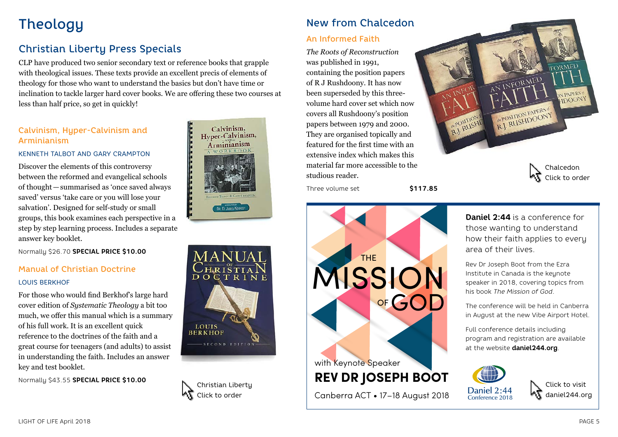## **Theology**

### Christian Liberty Press Specials

CLP have produced two senior secondary text or reference books that grapple with theological issues. These texts provide an excellent precis of elements of theology for those who want to understand the basics but don't have time or inclination to tackle larger hard cover books. We are offering these two courses at less than half price, so get in quickly!

### Calvinism, Hyper-Calvinism and Arminianism

#### KENNETH TALBOT AND GARY CRAMPTON

Discover the elements of this controversy between the reformed and evangelical schools of thought—summarised as 'once saved always saved' versus 'take care or you will lose your salvation'. Designed for self-study or small groups, this book examines each perspective in a step by step learning process. Includes a separate answer key booklet.

Normally \$26.70 **SPECIAL PRICE \$10.00**

#### Manual of Christian Doctrine

#### LOUIS BERKHOF

For those who would find Berkhof's large hard cover edition of *Systematic Theology* a bit too much, we offer this manual which is a summary of his full work. It is an excellent quick reference to the doctrines of the faith and a great course for teenagers (and adults) to assist in understanding the faith. Includes an answer key and test booklet.

Normally \$43.55 **SPECIAL PRICE \$10.00**







### New from Chalcedon

#### An Informed Faith

*The Roots of Reconstruction* was published in 1991, containing the position papers of R J Rushdoony. It has now been superseded by this threevolume hard cover set which now covers all Rushdoony's position papers between 1979 and 2000. They are organised topically and featured for the first time with an extensive index which makes this material far more accessible to the studious reader.





AN INFORMED N PAPERS HDOON R.J. RUSHDOONY

> Chalcedon Click to order

**Daniel 2:44** is a conference for those wanting to understand how their faith applies to every area of their lives.

Rev Dr Joseph Boot from the Ezra Institute in Canada is the keynote speaker in 2018, covering topics from his book *The Mission of God*.

The conference will be held in Canberra in August at the new Vibe Airport Hotel.

Full conference details including program and registration are available at the website **daniel244.org**.



Click to visit daniel244.org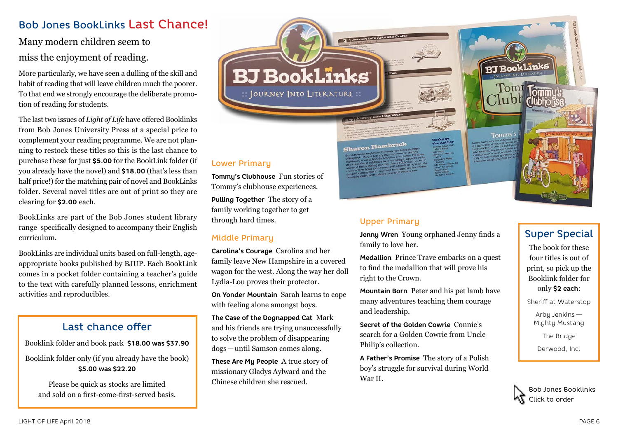### Bob Jones BookLinks Last Chance!

### Many modern children seem to miss the enjoyment of reading.

More particularly, we have seen a dulling of the skill and habit of reading that will leave children much the poorer. To that end we strongly encourage the deliberate promotion of reading for students.

The last two issues of *Light of Life* have offered Booklinks from Bob Jones University Press at a special price to complement your reading programme. We are not planning to restock these titles so this is the last chance to purchase these for just **\$5.00** for the BookLink folder (if you already have the novel) and **\$18.00** (that's less than half price!) for the matching pair of novel and BookLinks folder. Several novel titles are out of print so they are clearing for **\$2.00** each.

BookLinks are part of the Bob Jones student library range specifically designed to accompany their English curriculum.

BookLinks are individual units based on full-length, ageappropriate books published by BJUP. Each BookLink comes in a pocket folder containing a teacher's guide to the text with carefully planned lessons, enrichment activities and reproducibles.

### Last chance offer

Booklink folder and book pack **\$18.00 was \$37.90**

Booklink folder only (if you already have the book) **\$5.00 was \$22.20**

Please be quick as stocks are limited and sold on a first-come-first-served basis. Lower Primary

**Tommy's Clubhouse** Fun stories of Tommy's clubhouse experiences. **Pulling Together** The story of a family working together to get through hard times.

#### Middle Primary

**Carolina's Courage** Carolina and her family leave New Hampshire in a covered wagon for the west. Along the way her doll Lydia-Lou proves their protector.

**BJ BookLinks** 

:: JOURNEY INTO LITERATURE ::

**On Yonder Mountain** Sarah learns to cope with feeling alone amongst boys.

**The Case of the Dognapped Cat** Mark and his friends are trying unsuccessfully to solve the problem of disappearing dogs—until Samson comes along.

**These Are My People** A true story of missionary Gladys Aylward and the Chinese children she rescued.

Sharon Hambrick

#### Upper Primary

**Jenny Wren** Young orphaned Jenny finds a family to love her.

**Medallion** Prince Trave embarks on a quest to find the medallion that will prove his right to the Crown.

**Mountain Born** Peter and his pet lamb have many adventures teaching them courage and leadership.

**Secret of the Golden Cowrie** Connie's search for a Golden Cowrie from Uncle Philip's collection.

**A Father's Promise** The story of a Polish boy's struggle for survival during World War II.

Tommy

**BJ BookLinks** 

### Super Special

The book for these four titles is out of print, so pick up the Booklink folder for only **\$2 each**:

Sheriff at Waterstop

Arby Jenkins — Mighty Mustang

The Bridge

Derwood, Inc.